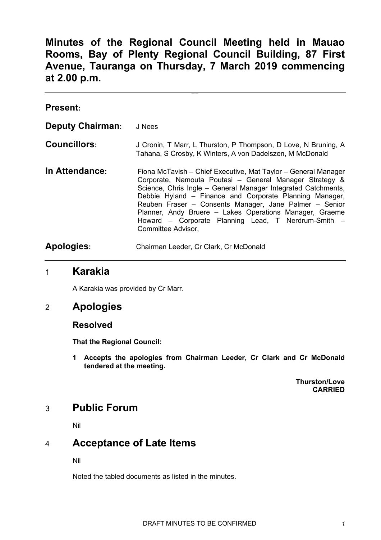**Minutes of the Regional Council Meeting held in Mauao Rooms, Bay of Plenty Regional Council Building, 87 First Avenue, Tauranga on Thursday, 7 March 2019 commencing at 2.00 p.m.**

| <b>Present:</b>         |                                                                                                                                                                                                                                                                                                                                                                                                                                                         |
|-------------------------|---------------------------------------------------------------------------------------------------------------------------------------------------------------------------------------------------------------------------------------------------------------------------------------------------------------------------------------------------------------------------------------------------------------------------------------------------------|
| <b>Deputy Chairman:</b> | J Nees                                                                                                                                                                                                                                                                                                                                                                                                                                                  |
| <b>Councillors:</b>     | J Cronin, T Marr, L Thurston, P Thompson, D Love, N Bruning, A<br>Tahana, S Crosby, K Winters, A von Dadelszen, M McDonald                                                                                                                                                                                                                                                                                                                              |
| In Attendance:          | Fiona McTavish – Chief Executive, Mat Taylor – General Manager<br>Corporate, Namouta Poutasi - General Manager Strategy &<br>Science, Chris Ingle - General Manager Integrated Catchments,<br>Debbie Hyland – Finance and Corporate Planning Manager,<br>Reuben Fraser - Consents Manager, Jane Palmer - Senior<br>Planner, Andy Bruere - Lakes Operations Manager, Graeme<br>Howard - Corporate Planning Lead, T Nerdrum-Smith -<br>Committee Advisor, |
| <b>Apologies:</b>       | Chairman Leeder, Cr Clark, Cr McDonald                                                                                                                                                                                                                                                                                                                                                                                                                  |

## 1 **Karakia**

A Karakia was provided by Cr Marr.

## 2 **Apologies**

**Resolved**

**That the Regional Council:**

**1 Accepts the apologies from Chairman Leeder, Cr Clark and Cr McDonald tendered at the meeting.**

> **Thurston/Love CARRIED**

# 3 **Public Forum**

Nil

# 4 **Acceptance of Late Items**

Nil

Noted the tabled documents as listed in the minutes.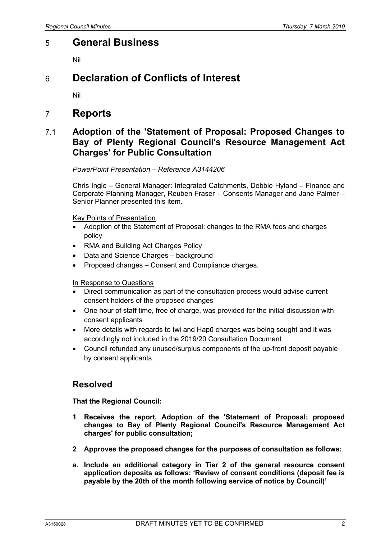# 5 **General Business**

Nil

# 6 **Declaration of Conflicts of Interest**

Nil

## 7 **Reports**

## 7.1 **Adoption of the 'Statement of Proposal: Proposed Changes to Bay of Plenty Regional Council's Resource Management Act Charges' for Public Consultation**

### *PowerPoint Presentation – Reference A3144206*

Chris Ingle – General Manager: Integrated Catchments, Debbie Hyland – Finance and Corporate Planning Manager, Reuben Fraser – Consents Manager and Jane Palmer – Senior Planner presented this item.

Key Points of Presentation

- Adoption of the Statement of Proposal: changes to the RMA fees and charges policy
- RMA and Building Act Charges Policy
- Data and Science Charges background
- Proposed changes Consent and Compliance charges.

#### In Response to Questions

- Direct communication as part of the consultation process would advise current consent holders of the proposed changes
- One hour of staff time, free of charge, was provided for the initial discussion with consent applicants
- More details with regards to Iwi and Hapū charges was being sought and it was accordingly not included in the 2019/20 Consultation Document
- Council refunded any unused/surplus components of the up-front deposit payable by consent applicants.

### **Resolved**

**That the Regional Council:**

- **1 Receives the report, Adoption of the 'Statement of Proposal: proposed changes to Bay of Plenty Regional Council's Resource Management Act charges' for public consultation;**
- **2 Approves the proposed changes for the purposes of consultation as follows:**
- **a. Include an additional category in Tier 2 of the general resource consent application deposits as follows: 'Review of consent conditions (deposit fee is payable by the 20th of the month following service of notice by Council)'**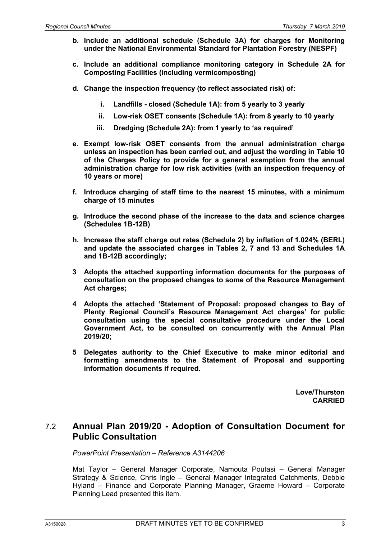- **b. Include an additional schedule (Schedule 3A) for charges for Monitoring under the National Environmental Standard for Plantation Forestry (NESPF)**
- **c. Include an additional compliance monitoring category in Schedule 2A for Composting Facilities (including vermicomposting)**
- **d. Change the inspection frequency (to reflect associated risk) of:**
	- **i. Landfills - closed (Schedule 1A): from 5 yearly to 3 yearly**
	- **ii. Low-risk OSET consents (Schedule 1A): from 8 yearly to 10 yearly**
	- **iii. Dredging (Schedule 2A): from 1 yearly to 'as required'**
- **e. Exempt low-risk OSET consents from the annual administration charge unless an inspection has been carried out, and adjust the wording in Table 10 of the Charges Policy to provide for a general exemption from the annual administration charge for low risk activities (with an inspection frequency of 10 years or more)**
- **f. Introduce charging of staff time to the nearest 15 minutes, with a minimum charge of 15 minutes**
- **g. Introduce the second phase of the increase to the data and science charges (Schedules 1B-12B)**
- **h. Increase the staff charge out rates (Schedule 2) by inflation of 1.024% (BERL) and update the associated charges in Tables 2, 7 and 13 and Schedules 1A and 1B-12B accordingly;**
- **3 Adopts the attached supporting information documents for the purposes of consultation on the proposed changes to some of the Resource Management Act charges;**
- **4 Adopts the attached 'Statement of Proposal: proposed changes to Bay of Plenty Regional Council's Resource Management Act charges' for public consultation using the special consultative procedure under the Local Government Act, to be consulted on concurrently with the Annual Plan 2019/20;**
- **5 Delegates authority to the Chief Executive to make minor editorial and formatting amendments to the Statement of Proposal and supporting information documents if required.**

**Love/Thurston CARRIED**

### 7.2 **Annual Plan 2019/20 - Adoption of Consultation Document for Public Consultation**

*PowerPoint Presentation – Reference A3144206*

Mat Taylor – General Manager Corporate, Namouta Poutasi – General Manager Strategy & Science, Chris Ingle – General Manager Integrated Catchments, Debbie Hyland – Finance and Corporate Planning Manager, Graeme Howard – Corporate Planning Lead presented this item.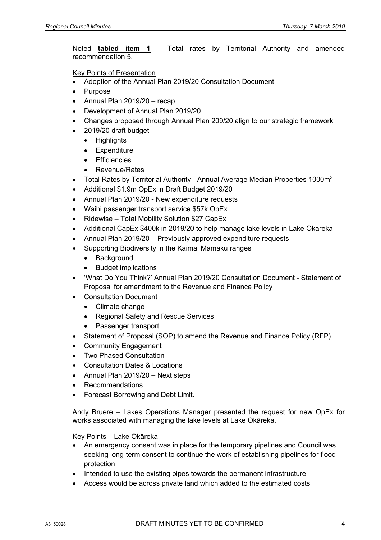Noted **tabled item 1** – Total rates by Territorial Authority and amended recommendation 5.

Key Points of Presentation

- Adoption of the Annual Plan 2019/20 Consultation Document
- Purpose
- Annual Plan 2019/20 recap
- Development of Annual Plan 2019/20
- Changes proposed through Annual Plan 209/20 align to our strategic framework
- 2019/20 draft budget
	- Highlights
	- Expenditure
	- **Efficiencies**
	- Revenue/Rates
- Total Rates by Territorial Authority Annual Average Median Properties 1000 $m^2$
- Additional \$1.9m OpEx in Draft Budget 2019/20
- Annual Plan 2019/20 New expenditure requests
- Waihi passenger transport service \$57k OpEx
- Ridewise Total Mobility Solution \$27 CapEx
- Additional CapEx \$400k in 2019/20 to help manage lake levels in Lake Okareka
- Annual Plan 2019/20 Previously approved expenditure requests
- Supporting Biodiversity in the Kaimai Mamaku ranges
	- Background
	- Budget implications
- 'What Do You Think?' Annual Plan 2019/20 Consultation Document Statement of Proposal for amendment to the Revenue and Finance Policy
- Consultation Document
	- Climate change
	- Regional Safety and Rescue Services
	- Passenger transport
- Statement of Proposal (SOP) to amend the Revenue and Finance Policy (RFP)
- **Community Engagement**
- Two Phased Consultation
- Consultation Dates & Locations
- Annual Plan 2019/20 Next steps
- Recommendations
- Forecast Borrowing and Debt Limit.

Andy Bruere – Lakes Operations Manager presented the request for new OpEx for works associated with managing the lake levels at Lake Ōkāreka.

Key Points – Lake Ōkāreka

- An emergency consent was in place for the temporary pipelines and Council was seeking long-term consent to continue the work of establishing pipelines for flood protection
- Intended to use the existing pipes towards the permanent infrastructure
- Access would be across private land which added to the estimated costs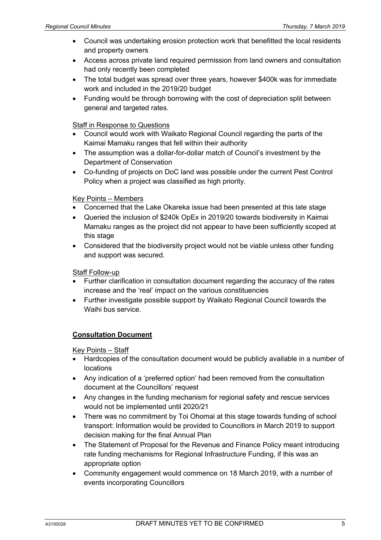- Council was undertaking erosion protection work that benefitted the local residents and property owners
- Access across private land required permission from land owners and consultation had only recently been completed
- The total budget was spread over three years, however \$400k was for immediate work and included in the 2019/20 budget
- Funding would be through borrowing with the cost of depreciation split between general and targeted rates.

### Staff in Response to Questions

- Council would work with Waikato Regional Council regarding the parts of the Kaimai Mamaku ranges that fell within their authority
- The assumption was a dollar-for-dollar match of Council's investment by the Department of Conservation
- Co-funding of projects on DoC land was possible under the current Pest Control Policy when a project was classified as high priority.

### Key Points – Members

- Concerned that the Lake Okareka issue had been presented at this late stage
- Queried the inclusion of \$240k OpEx in 2019/20 towards biodiversity in Kaimai Mamaku ranges as the project did not appear to have been sufficiently scoped at this stage
- Considered that the biodiversity project would not be viable unless other funding and support was secured.

Staff Follow-up

- Further clarification in consultation document regarding the accuracy of the rates increase and the 'real' impact on the various constituencies
- Further investigate possible support by Waikato Regional Council towards the Waihi bus service.

### **Consultation Document**

Key Points – Staff

- Hardcopies of the consultation document would be publicly available in a number of locations
- Any indication of a 'preferred option' had been removed from the consultation document at the Councillors' request
- Any changes in the funding mechanism for regional safety and rescue services would not be implemented until 2020/21
- There was no commitment by Toi Ohomai at this stage towards funding of school transport: Information would be provided to Councillors in March 2019 to support decision making for the final Annual Plan
- The Statement of Proposal for the Revenue and Finance Policy meant introducing rate funding mechanisms for Regional Infrastructure Funding, if this was an appropriate option
- Community engagement would commence on 18 March 2019, with a number of events incorporating Councillors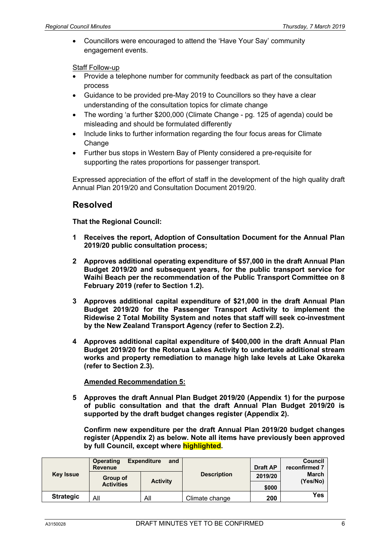• Councillors were encouraged to attend the 'Have Your Say' community engagement events.

Staff Follow-up

- Provide a telephone number for community feedback as part of the consultation process
- Guidance to be provided pre-May 2019 to Councillors so they have a clear understanding of the consultation topics for climate change
- The wording 'a further \$200,000 (Climate Change pg. 125 of agenda) could be misleading and should be formulated differently
- Include links to further information regarding the four focus areas for Climate **Change**
- Further bus stops in Western Bay of Plenty considered a pre-requisite for supporting the rates proportions for passenger transport.

Expressed appreciation of the effort of staff in the development of the high quality draft Annual Plan 2019/20 and Consultation Document 2019/20.

## **Resolved**

### **That the Regional Council:**

- **1 Receives the report, Adoption of Consultation Document for the Annual Plan 2019/20 public consultation process;**
- **2 Approves additional operating expenditure of \$57,000 in the draft Annual Plan Budget 2019/20 and subsequent years, for the public transport service for Waihi Beach per the recommendation of the Public Transport Committee on 8 February 2019 (refer to Section 1.2).**
- **3 Approves additional capital expenditure of \$21,000 in the draft Annual Plan Budget 2019/20 for the Passenger Transport Activity to implement the Ridewise 2 Total Mobility System and notes that staff will seek co-investment by the New Zealand Transport Agency (refer to Section 2.2).**
- **4 Approves additional capital expenditure of \$400,000 in the draft Annual Plan Budget 2019/20 for the Rotorua Lakes Activity to undertake additional stream works and property remediation to manage high lake levels at Lake Okareka (refer to Section 2.3).**

#### **Amended Recommendation 5:**

**5 Approves the draft Annual Plan Budget 2019/20 (Appendix 1) for the purpose of public consultation and that the draft Annual Plan Budget 2019/20 is supported by the draft budget changes register (Appendix 2).**

**Confirm new expenditure per the draft Annual Plan 2019/20 budget changes register (Appendix 2) as below. Note all items have previously been approved by full Council, except where highlighted.** 

| <b>Key Issue</b> | <b>Expenditure</b><br><b>Operating</b><br>and<br><b>Revenue</b> |                 |                    | <b>Draft AP</b> | <b>Council</b><br>reconfirmed 7 |
|------------------|-----------------------------------------------------------------|-----------------|--------------------|-----------------|---------------------------------|
|                  | Group of                                                        | <b>Activity</b> | <b>Description</b> | 2019/20         | <b>March</b><br>(Yes/No)        |
|                  | <b>Activities</b>                                               |                 |                    | \$000           |                                 |
| <b>Strategic</b> | All                                                             | All             | Climate change     | 200             | <b>Yes</b>                      |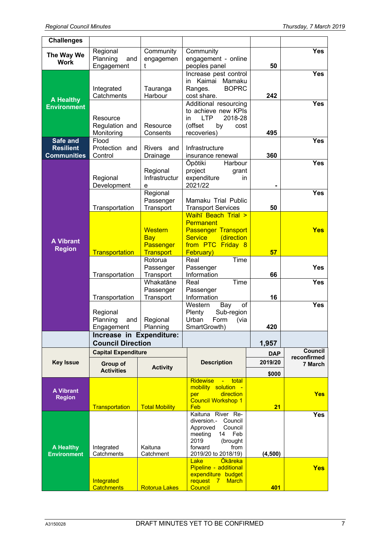| <b>Challenges</b>                                  |                                                                  |                                                  |                                                                                                                                                          |                       |                        |
|----------------------------------------------------|------------------------------------------------------------------|--------------------------------------------------|----------------------------------------------------------------------------------------------------------------------------------------------------------|-----------------------|------------------------|
| The Way We<br><b>Work</b>                          | Regional<br>Planning<br>and<br>Engagement                        | Community<br>engagemen<br>t                      | Community<br>engagement - online<br>peoples panel                                                                                                        | 50                    | Yes                    |
| <b>A Healthy</b>                                   | Integrated<br>Catchments                                         | Tauranga<br>Harbour                              | Increase pest control<br>Kaimai<br>Mamaku<br>in<br><b>BOPRC</b><br>Ranges.<br>cost share.                                                                | 242                   | <b>Yes</b>             |
| <b>Environment</b>                                 | Resource<br>Regulation and<br>Monitoring                         | Resource<br>Consents                             | Additional resourcing<br>to achieve new KPIs<br>2018-28<br><b>LTP</b><br>in<br>(offset<br>by<br>cost<br>recoveries)                                      | 495                   | Yes                    |
| Safe and<br><b>Resilient</b><br><b>Communities</b> | Flood<br>Protection and<br>Control                               | Rivers and<br>Drainage                           | Infrastructure<br>insurance renewal                                                                                                                      | 360                   | <b>Yes</b>             |
| <b>A</b> Vibrant<br><b>Region</b>                  | Regional<br>Development                                          | Regional<br>Infrastructur<br>е                   | Harbour<br>Opōtiki<br>project<br>grant<br>expenditure<br>in<br>2021/22                                                                                   |                       | Yes                    |
|                                                    | Transportation                                                   | Regional<br>Passenger<br>Transport               | Mamaku Trial Public<br><b>Transport Services</b>                                                                                                         | 50                    | <b>Yes</b>             |
|                                                    |                                                                  | <b>Western</b><br><b>Bay</b><br><b>Passenger</b> | Waihī Beach Trial ><br><b>Permanent</b><br><b>Passenger Transport</b><br><b>Service</b><br>(direction<br>from PTC Friday 8                               |                       | <b>Yes</b>             |
|                                                    | <b>Transportation</b>                                            | <b>Transport</b><br>Rotorua<br>Passenger         | February)<br>Time<br>Real<br>Passenger                                                                                                                   | 57                    | <b>Yes</b>             |
|                                                    | Transportation                                                   | Transport<br>Whakatāne<br>Passenger              | Information<br>Real<br>Time<br>Passenger                                                                                                                 | 66                    | <b>Yes</b>             |
|                                                    | Transportation                                                   | Transport                                        | Information<br>Western<br>of<br>Bay                                                                                                                      | 16                    | <b>Yes</b>             |
|                                                    | Regional<br>Planning<br>and<br>Engagement                        | Regional<br>Planning                             | Plenty<br>Sub-region<br>Urban<br>Form<br>(via<br>SmartGrowth)                                                                                            | 420                   |                        |
|                                                    | Increase in Expenditure:                                         |                                                  |                                                                                                                                                          |                       |                        |
|                                                    | <b>Council Direction</b>                                         |                                                  |                                                                                                                                                          | 1,957                 | Council                |
| <b>Key Issue</b>                                   | <b>Capital Expenditure</b><br><b>Group of</b><br><b>Activity</b> |                                                  | <b>Description</b>                                                                                                                                       | <b>DAP</b><br>2019/20 | reconfirmed<br>7 March |
|                                                    | <b>Activities</b>                                                |                                                  |                                                                                                                                                          | \$000                 |                        |
| <b>A Vibrant</b><br><b>Region</b>                  | Transportation                                                   | <b>Total Mobility</b>                            | <b>Ridewise</b><br>total<br>$\frac{1}{2}$ and $\frac{1}{2}$<br>mobility solution -<br>direction<br>per<br><b>Council Workshop 1</b><br>Feb               | 21                    | <b>Yes</b>             |
| <b>A Healthy</b><br><b>Environment</b>             | Integrated<br>Catchments                                         | Kaituna<br>Catchment                             | Kaituna River Re-<br>Council<br>diversion.-<br>Approved<br>Council<br>14<br>Feb<br>meeting<br>2019<br>(brought<br>from<br>forward<br>2019/20 to 2018/19) | (4,500)               | <b>Yes</b>             |
|                                                    | Integrated<br><b>Catchments</b>                                  | <b>Rotorua Lakes</b>                             | <b>Okāreka</b><br>Lake<br>Pipeline - additional<br>expenditure budget<br>request 7<br><b>March</b><br>Council                                            | 401                   | <b>Yes</b>             |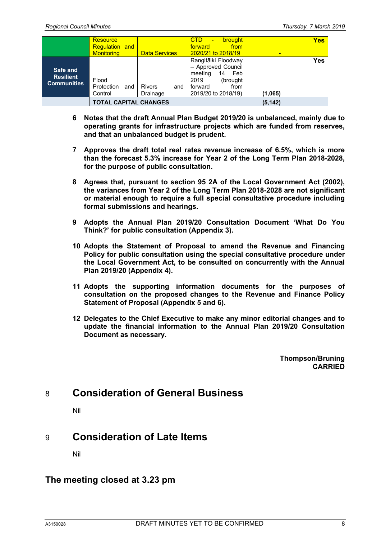|                                                    | <b>Resource</b><br><b>Regulation and</b><br><b>Monitoring</b> | <b>Data Services</b>      | CTD.<br><b>brought</b><br>$\blacksquare$<br>from<br>forward<br>2020/21 to 2018/19                                                |          | Yes |
|----------------------------------------------------|---------------------------------------------------------------|---------------------------|----------------------------------------------------------------------------------------------------------------------------------|----------|-----|
| Safe and<br><b>Resilient</b><br><b>Communities</b> | Flood<br>Protection<br>and<br>Control                         | Rivers<br>and<br>Drainage | Rangitāiki Floodway<br>- Approved Council<br>Feb<br>14<br>meeting<br>2019<br>(brought)<br>forward<br>from<br>2019/20 to 2018/19) | (1,065)  | Yes |
|                                                    | <b>TOTAL CAPITAL CHANGES</b>                                  |                           |                                                                                                                                  | (5, 142) |     |

- **6 Notes that the draft Annual Plan Budget 2019/20 is unbalanced, mainly due to operating grants for infrastructure projects which are funded from reserves, and that an unbalanced budget is prudent.**
- **7 Approves the draft total real rates revenue increase of 6.5%, which is more than the forecast 5.3% increase for Year 2 of the Long Term Plan 2018-2028, for the purpose of public consultation.**
- **8 Agrees that, pursuant to section 95 2A of the Local Government Act (2002), the variances from Year 2 of the Long Term Plan 2018-2028 are not significant or material enough to require a full special consultative procedure including formal submissions and hearings.**
- **9 Adopts the Annual Plan 2019/20 Consultation Document 'What Do You Think?' for public consultation (Appendix 3).**
- **10 Adopts the Statement of Proposal to amend the Revenue and Financing Policy for public consultation using the special consultative procedure under the Local Government Act, to be consulted on concurrently with the Annual Plan 2019/20 (Appendix 4).**
- **11 Adopts the supporting information documents for the purposes of consultation on the proposed changes to the Revenue and Finance Policy Statement of Proposal (Appendix 5 and 6).**
- **12 Delegates to the Chief Executive to make any minor editorial changes and to update the financial information to the Annual Plan 2019/20 Consultation Document as necessary.**

**Thompson/Bruning CARRIED**

# 8 **Consideration of General Business**

Nil

# 9 **Consideration of Late Items**

Nil

### **The meeting closed at 3.23 pm**